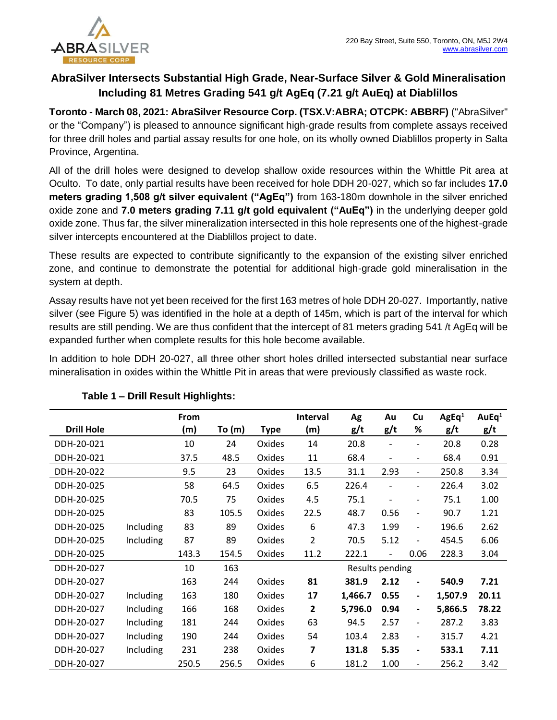

# **AbraSilver Intersects Substantial High Grade, Near-Surface Silver & Gold Mineralisation Including 81 Metres Grading 541 g/t AgEq (7.21 g/t AuEq) at Diablillos**

**Toronto - March 08, 2021: AbraSilver Resource Corp. (TSX.V:ABRA; OTCPK: ABBRF)** ("AbraSilver" or the "Company") is pleased to announce significant high-grade results from complete assays received for three drill holes and partial assay results for one hole, on its wholly owned Diablillos property in Salta Province, Argentina.

All of the drill holes were designed to develop shallow oxide resources within the Whittle Pit area at Oculto. To date, only partial results have been received for hole DDH 20-027, which so far includes **17.0 meters grading 1,508 g/t silver equivalent ("AgEq")** from 163-180m downhole in the silver enriched oxide zone and **7.0 meters grading 7.11 g/t gold equivalent ("AuEq")** in the underlying deeper gold oxide zone. Thus far, the silver mineralization intersected in this hole represents one of the highest-grade silver intercepts encountered at the Diablillos project to date.

These results are expected to contribute significantly to the expansion of the existing silver enriched zone, and continue to demonstrate the potential for additional high-grade gold mineralisation in the system at depth.

Assay results have not yet been received for the first 163 metres of hole DDH 20-027. Importantly, native silver (see Figure 5) was identified in the hole at a depth of 145m, which is part of the interval for which results are still pending. We are thus confident that the intercept of 81 meters grading 541 /t AgEq will be expanded further when complete results for this hole become available.

In addition to hole DDH 20-027, all three other short holes drilled intersected substantial near surface mineralisation in oxides within the Whittle Pit in areas that were previously classified as waste rock.

|                   |           | From  |       |             | <b>Interval</b> | Ag      | Au                       | Cu                           | AgEq <sup>1</sup> | AuEq <sup>1</sup> |
|-------------------|-----------|-------|-------|-------------|-----------------|---------|--------------------------|------------------------------|-------------------|-------------------|
| <b>Drill Hole</b> |           | (m)   | To(m) | <b>Type</b> | (m)             | g/t     | g/t                      | %                            | g/t               | g/t               |
| DDH-20-021        |           | 10    | 24    | Oxides      | 14              | 20.8    |                          | $\overline{\phantom{a}}$     | 20.8              | 0.28              |
| DDH-20-021        |           | 37.5  | 48.5  | Oxides      | 11              | 68.4    |                          | $\overline{\phantom{a}}$     | 68.4              | 0.91              |
| DDH-20-022        |           | 9.5   | 23    | Oxides      | 13.5            | 31.1    | 2.93                     | $\overline{\phantom{a}}$     | 250.8             | 3.34              |
| DDH-20-025        |           | 58    | 64.5  | Oxides      | 6.5             | 226.4   |                          | $\qquad \qquad \blacksquare$ | 226.4             | 3.02              |
| DDH-20-025        |           | 70.5  | 75    | Oxides      | 4.5             | 75.1    | $\overline{\phantom{a}}$ | $\overline{\phantom{a}}$     | 75.1              | 1.00              |
| DDH-20-025        |           | 83    | 105.5 | Oxides      | 22.5            | 48.7    | 0.56                     | $\overline{\phantom{a}}$     | 90.7              | 1.21              |
| DDH-20-025        | Including | 83    | 89    | Oxides      | 6               | 47.3    | 1.99                     | $\qquad \qquad -$            | 196.6             | 2.62              |
| DDH-20-025        | Including | 87    | 89    | Oxides      | 2               | 70.5    | 5.12                     | $\overline{a}$               | 454.5             | 6.06              |
| DDH-20-025        |           | 143.3 | 154.5 | Oxides      | 11.2            | 222.1   |                          | 0.06                         | 228.3             | 3.04              |
| DDH-20-027        |           | 10    | 163   |             | Results pending |         |                          |                              |                   |                   |
| DDH-20-027        |           | 163   | 244   | Oxides      | 81              | 381.9   | 2.12                     | -                            | 540.9             | 7.21              |
| DDH-20-027        | Including | 163   | 180   | Oxides      | 17              | 1,466.7 | 0.55                     | $\overline{\phantom{0}}$     | 1,507.9           | 20.11             |
| DDH-20-027        | Including | 166   | 168   | Oxides      | $\mathbf{2}$    | 5,796.0 | 0.94                     | $\overline{\phantom{0}}$     | 5,866.5           | 78.22             |
| DDH-20-027        | Including | 181   | 244   | Oxides      | 63              | 94.5    | 2.57                     | $\overline{\phantom{a}}$     | 287.2             | 3.83              |
| DDH-20-027        | Including | 190   | 244   | Oxides      | 54              | 103.4   | 2.83                     | $\overline{\phantom{a}}$     | 315.7             | 4.21              |
| DDH-20-027        | Including | 231   | 238   | Oxides      | 7               | 131.8   | 5.35                     | $\overline{\phantom{0}}$     | 533.1             | 7.11              |
| DDH-20-027        |           | 250.5 | 256.5 | Oxides      | 6               | 181.2   | 1.00                     | $\qquad \qquad -$            | 256.2             | 3.42              |

### **Table 1 – Drill Result Highlights:**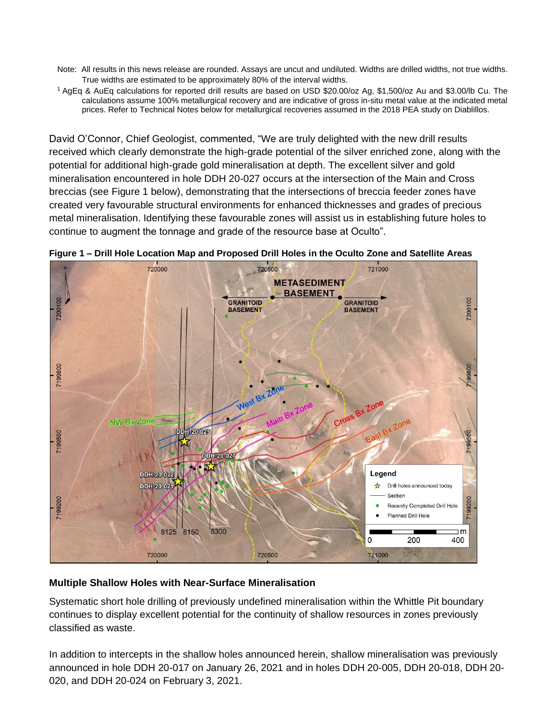- Note: All results in this news release are rounded. Assays are uncut and undiluted. Widths are drilled widths, not true widths. True widths are estimated to be approximately 80% of the interval widths.
- <sup>1</sup>AgEq & AuEq calculations for reported drill results are based on USD \$20.00/oz Ag, \$1,500/oz Au and \$3.00/lb Cu. The calculations assume 100% metallurgical recovery and are indicative of gross in-situ metal value at the indicated metal prices. Refer to Technical Notes below for metallurgical recoveries assumed in the 2018 PEA study on Diablillos.

David O'Connor, Chief Geologist, commented, "We are truly delighted with the new drill results received which clearly demonstrate the high-grade potential of the silver enriched zone, along with the potential for additional high-grade gold mineralisation at depth. The excellent silver and gold mineralisation encountered in hole DDH 20-027 occurs at the intersection of the Main and Cross breccias (see Figure 1 below), demonstrating that the intersections of breccia feeder zones have created very favourable structural environments for enhanced thicknesses and grades of precious metal mineralisation. Identifying these favourable zones will assist us in establishing future holes to continue to augment the tonnage and grade of the resource base at Oculto".



**Figure 1 – Drill Hole Location Map and Proposed Drill Holes in the Oculto Zone and Satellite Areas**

### **Multiple Shallow Holes with Near-Surface Mineralisation**

Systematic short hole drilling of previously undefined mineralisation within the Whittle Pit boundary continues to display excellent potential for the continuity of shallow resources in zones previously classified as waste.

In addition to intercepts in the shallow holes announced herein, shallow mineralisation was previously announced in hole DDH 20-017 on January 26, 2021 and in holes DDH 20-005, DDH 20-018, DDH 20- 020, and DDH 20-024 on February 3, 2021.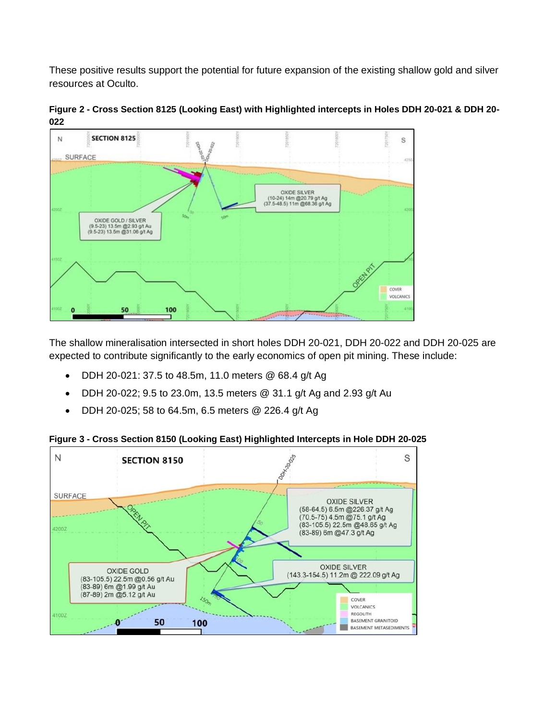These positive results support the potential for future expansion of the existing shallow gold and silver resources at Oculto.



**Figure 2 - Cross Section 8125 (Looking East) with Highlighted intercepts in Holes DDH 20-021 & DDH 20- 022** 

The shallow mineralisation intersected in short holes DDH 20-021, DDH 20-022 and DDH 20-025 are expected to contribute significantly to the early economics of open pit mining. These include:

- DDH 20-021: 37.5 to 48.5m, 11.0 meters @ 68.4 g/t Ag
- DDH 20-022; 9.5 to 23.0m, 13.5 meters  $@$  31.1 g/t Ag and 2.93 g/t Au
- DDH 20-025; 58 to 64.5m, 6.5 meters @ 226.4 g/t Ag

**Figure 3 - Cross Section 8150 (Looking East) Highlighted Intercepts in Hole DDH 20-025**

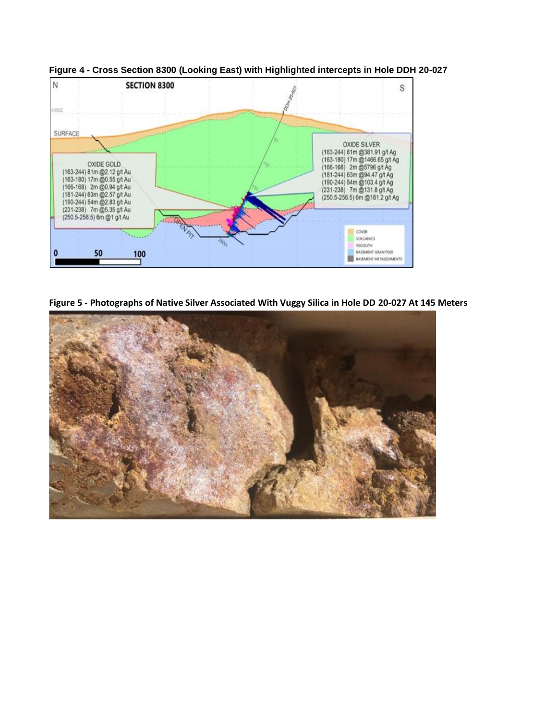

**Figure 4 - Cross Section 8300 (Looking East) with Highlighted intercepts in Hole DDH 20-027**

**Figure 5 - Photographs of Native Silver Associated With Vuggy Silica in Hole DD 20-027 At 145 Meters**

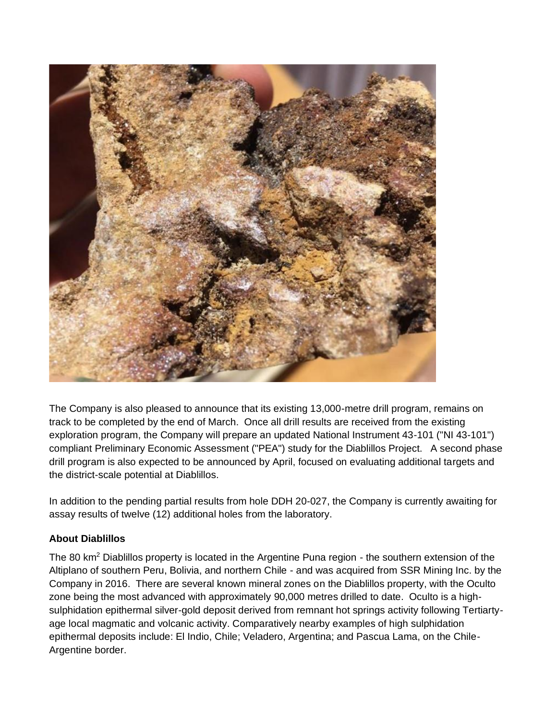

The Company is also pleased to announce that its existing 13,000-metre drill program, remains on track to be completed by the end of March. Once all drill results are received from the existing exploration program, the Company will prepare an updated National Instrument 43-101 ("NI 43-101") compliant Preliminary Economic Assessment ("PEA") study for the Diablillos Project. A second phase drill program is also expected to be announced by April, focused on evaluating additional targets and the district-scale potential at Diablillos.

In addition to the pending partial results from hole DDH 20-027, the Company is currently awaiting for assay results of twelve (12) additional holes from the laboratory.

## **About Diablillos**

The 80 km<sup>2</sup> Diablillos property is located in the Argentine Puna region - the southern extension of the Altiplano of southern Peru, Bolivia, and northern Chile - and was acquired from SSR Mining Inc. by the Company in 2016. There are several known mineral zones on the Diablillos property, with the Oculto zone being the most advanced with approximately 90,000 metres drilled to date. Oculto is a highsulphidation epithermal silver-gold deposit derived from remnant hot springs activity following Tertiartyage local magmatic and volcanic activity. Comparatively nearby examples of high sulphidation epithermal deposits include: El Indio, Chile; Veladero, Argentina; and Pascua Lama, on the Chile-Argentine border.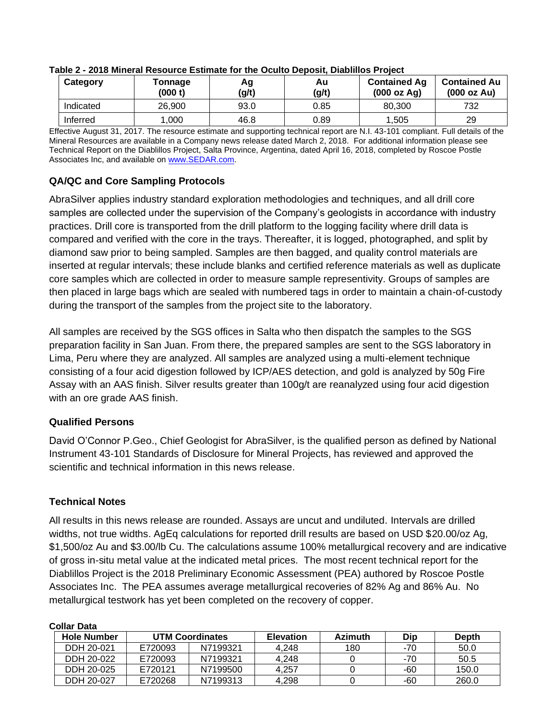| Category  | Tonnage<br>(000 t) | Αg<br>(g/t) | Au<br>(g/t) | <b>Contained Ag</b><br>(000 oz Ag) | <b>Contained Au</b><br>(000 oz Au) |
|-----------|--------------------|-------------|-------------|------------------------------------|------------------------------------|
| Indicated | 26,900             | 93.0        | 0.85        | 80,300                             | 732                                |
| Inferred  | .000               | 46.8        | 0.89        | 1,505                              | 29                                 |

#### **Table 2 - 2018 Mineral Resource Estimate for the Oculto Deposit, Diablillos Project**

Effective August 31, 2017. The resource estimate and supporting technical report are N.I. 43-101 compliant. Full details of the Mineral Resources are available in a Company news release dated March 2, 2018. For additional information please see Technical Report on the Diablillos Project, Salta Province, Argentina, dated April 16, 2018, completed by Roscoe Postle Associates Inc, and available on [www.SEDAR.com.](about:blank)

## **QA/QC and Core Sampling Protocols**

AbraSilver applies industry standard exploration methodologies and techniques, and all drill core samples are collected under the supervision of the Company's geologists in accordance with industry practices. Drill core is transported from the drill platform to the logging facility where drill data is compared and verified with the core in the trays. Thereafter, it is logged, photographed, and split by diamond saw prior to being sampled. Samples are then bagged, and quality control materials are inserted at regular intervals; these include blanks and certified reference materials as well as duplicate core samples which are collected in order to measure sample representivity. Groups of samples are then placed in large bags which are sealed with numbered tags in order to maintain a chain-of-custody during the transport of the samples from the project site to the laboratory.

All samples are received by the SGS offices in Salta who then dispatch the samples to the SGS preparation facility in San Juan. From there, the prepared samples are sent to the SGS laboratory in Lima, Peru where they are analyzed. All samples are analyzed using a multi-element technique consisting of a four acid digestion followed by ICP/AES detection, and gold is analyzed by 50g Fire Assay with an AAS finish. Silver results greater than 100g/t are reanalyzed using four acid digestion with an ore grade AAS finish.

## **Qualified Persons**

David O'Connor P.Geo., Chief Geologist for AbraSilver, is the qualified person as defined by National Instrument 43-101 Standards of Disclosure for Mineral Projects, has reviewed and approved the scientific and technical information in this news release.

## **Technical Notes**

All results in this news release are rounded. Assays are uncut and undiluted. Intervals are drilled widths, not true widths. AgEq calculations for reported drill results are based on USD \$20.00/oz Ag, \$1,500/oz Au and \$3.00/lb Cu. The calculations assume 100% metallurgical recovery and are indicative of gross in-situ metal value at the indicated metal prices. The most recent technical report for the Diablillos Project is the 2018 Preliminary Economic Assessment (PEA) authored by Roscoe Postle Associates Inc. The PEA assumes average metallurgical recoveries of 82% Ag and 86% Au. No metallurgical testwork has yet been completed on the recovery of copper.

| <b>Collar Data</b> |                        |          |                  |                |     |              |  |  |
|--------------------|------------------------|----------|------------------|----------------|-----|--------------|--|--|
| <b>Hole Number</b> | <b>UTM Coordinates</b> |          | <b>Elevation</b> | <b>Azimuth</b> | Dip | <b>Depth</b> |  |  |
| DDH 20-021         | E720093                | N7199321 | 4.248            | 180            | -70 | 50.0         |  |  |
| DDH 20-022         | E720093                | N7199321 | 4.248            |                | -70 | 50.5         |  |  |
| DDH 20-025         | E720121                | N7199500 | 4.257            |                | -60 | 150.0        |  |  |
| DDH 20-027         | E720268                | N7199313 | 4.298            |                | -60 | 260.0        |  |  |